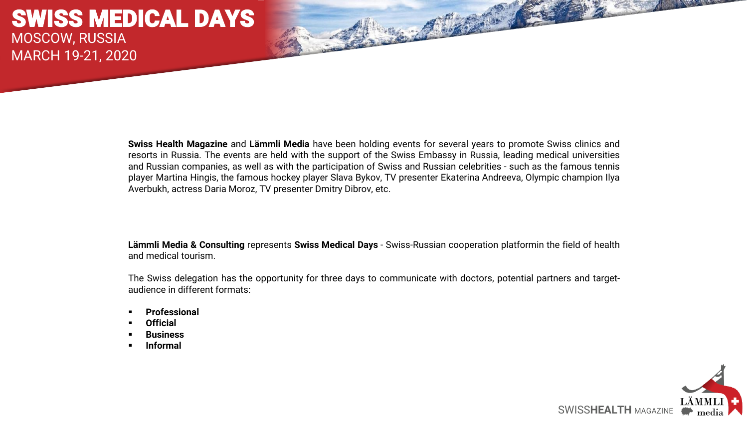**Swiss Health Magazine** and **Lämmli Media** have been holding events for several years to promote Swiss clinics and resorts in Russia. The events are held with the support of the Swiss Embassy in Russia, leading medical universities and Russian companies, as well as with the participation of Swiss and Russian celebrities - such as the famous tennis player Martina Hingis, the famous hockey player Slava Bykov, TV presenter Ekaterina Andreeva, Olympic champion Ilya Averbukh, actress Daria Moroz, TV presenter Dmitry Dibrov, etc.

**Lämmli Media & Consulting** represents **Swiss Medical Days** - Swiss-Russian cooperation platformin the field of health and medical tourism.

The Swiss delegation has the opportunity for three days to communicate with doctors, potential partners and targetaudience in different formats:

- **Professional**
- **Official**
- **Business**
- **Informal**

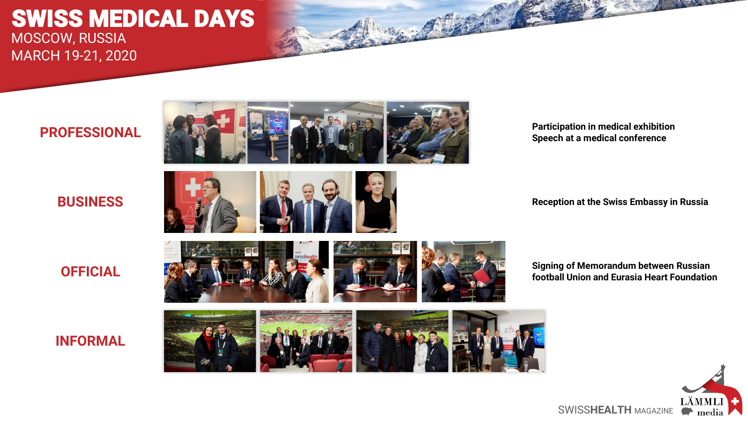## **PROFESSIONAL**



**Participation in medical exhibition Speech at a medical conference**

**BUSINESS**



**Reception at the Swiss Embassy in Russia**

**OFFICIAL**

## **INFORMAL**



**Signing of Memorandum between Russian football Union and Eurasia Heart Foundation**

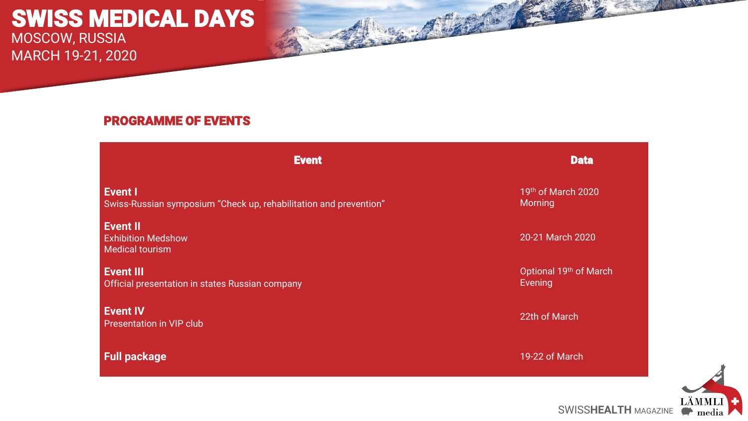## PROGRAMME OF EVENTS

**Event Property and Contract Contract Contract Contract Contract Contract Contract Contract Contract Contract C Event I** Swiss-Russian symposium "Check up, rehabilitation and prevention" 19th of March 2020 Morning **Event II** Exhibition Medshow Medical tourism 20-21 March 2020 **Event III** Official presentation in states Russian company Optional 19th of March Evening **Event IV**

Presentation in VIP club 22th of March

**Full package** 19-22 of March



SWISSHEALTH MAGAZINE **Property** media